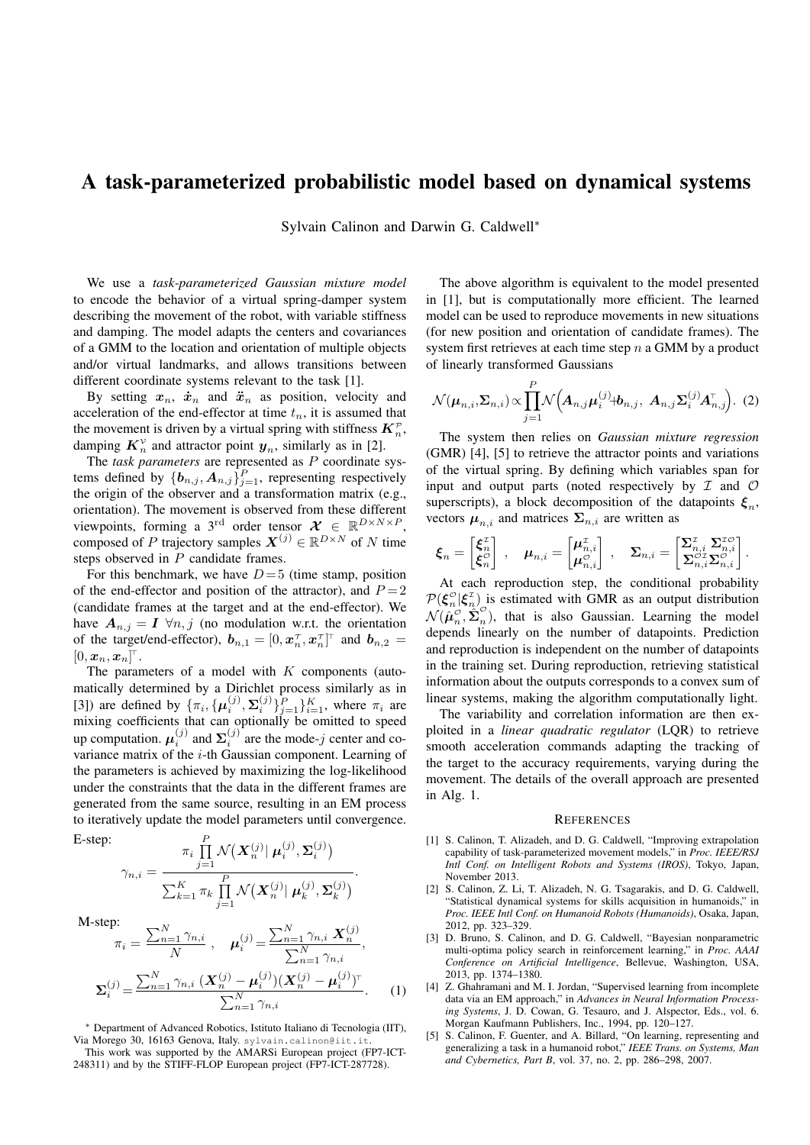## A task-parameterized probabilistic model based on dynamical systems

Sylvain Calinon and Darwin G. Caldwell*∗*

We use a *task-parameterized Gaussian mixture model* to encode the behavior of a virtual spring-damper system describing the movement of the robot, with variable stiffness and damping. The model adapts the centers and covariances of a GMM to the location and orientation of multiple objects and/or virtual landmarks, and allows transitions between different coordinate systems relevant to the task [1].

By setting  $x_n$ ,  $\dot{x}_n$  and  $\ddot{x}_n$  as position, velocity and acceleration of the end-effector at time  $t_n$ , it is assumed that the movement is driven by a virtual spring with stiffness  $K_n^p$ , damping  $K_n^{\gamma}$  and attractor point  $y_n$ , similarly as in [2].

The *task parameters* are represented as *P* coordinate systems defined by  $\{b_{n,j}, A_{n,j}\}_{j=1}^P$ , representing respectively the origin of the observer and a transformation matrix (e.g., orientation). The movement is observed from these different viewpoints, forming a 3<sup>rd</sup> order tensor  $\mathcal{X} \in \mathbb{R}^{D \times N \times P}$ , composed of *P* trajectory samples  $X^{(j)} \in \mathbb{R}^{D \times N}$  of *N* time steps observed in *P* candidate frames.

For this benchmark, we have  $D=5$  (time stamp, position of the end-effector and position of the attractor), and  $P = 2$ (candidate frames at the target and at the end-effector). We have  $A_{n,j} = I \ \forall n,j$  (no modulation w.r.t. the orientation of the target/end-effector),  $\boldsymbol{b}_{n,1} = [0, \boldsymbol{x}_n^{\tau}, \boldsymbol{x}_n^{\tau}]^{\tau}$  and  $\boldsymbol{b}_{n,2} =$  $[0,\boldsymbol{x}_n,\boldsymbol{x}_n]^\top.$ 

The parameters of a model with *K* components (automatically determined by a Dirichlet process similarly as in [3]) are defined by  $\{\pi_i, \{\mu_i^{(j)}, \Sigma_i^{(j)}\}_{j=1}^P\}_{i=1}^K$ , where  $\pi_i$  are mixing coefficients that can optionally be omitted to speed up computation.  $\mu_i^{(j)}$  and  $\Sigma_i^{(j)}$  are the mode-*j* center and covariance matrix of the *i*-th Gaussian component. Learning of the parameters is achieved by maximizing the log-likelihood under the constraints that the data in the different frames are generated from the same source, resulting in an EM process to iteratively update the model parameters until convergence.

E-step:

$$
\gamma_{n,i} = \frac{\pi_i \prod\limits_{j=1}^P \mathcal{N}\big(\boldsymbol{X}_n^{(j)}\big|\ \boldsymbol{\mu}_i^{(j)},\boldsymbol{\Sigma}_i^{(j)}\big)}{\sum_{k=1}^K \pi_k \prod\limits_{j=1}^P \mathcal{N}\big(\boldsymbol{X}_n^{(j)}\big|\ \boldsymbol{\mu}_k^{(j)},\boldsymbol{\Sigma}_k^{(j)}\big)}.
$$

M-step:

$$
\pi_i = \frac{\sum_{n=1}^{N} \gamma_{n,i}}{N}, \quad \mu_i^{(j)} = \frac{\sum_{n=1}^{N} \gamma_{n,i} \mathbf{X}_n^{(j)}}{\sum_{n=1}^{N} \gamma_{n,i}},
$$

$$
\Sigma_i^{(j)} = \frac{\sum_{n=1}^{N} \gamma_{n,i} \left( \mathbf{X}_n^{(j)} - \mu_i^{(j)} \right) \left( \mathbf{X}_n^{(j)} - \mu_i^{(j)} \right)^\top}{\sum_{n=1}^{N} \gamma_{n,i}}.
$$
(1)

*∗* Department of Advanced Robotics, Istituto Italiano di Tecnologia (IIT), Via Morego 30, 16163 Genova, Italy. sylvain.calinon@iit.it.

This work was supported by the AMARSi European project (FP7-ICT-248311) and by the STIFF-FLOP European project (FP7-ICT-287728).

The above algorithm is equivalent to the model presented in [1], but is computationally more efficient. The learned model can be used to reproduce movements in new situations (for new position and orientation of candidate frames). The system first retrieves at each time step *n* a GMM by a product of linearly transformed Gaussians

$$
\mathcal{N}(\boldsymbol{\mu}_{n,i}, \boldsymbol{\Sigma}_{n,i}) \propto \prod_{j=1}^{P} \mathcal{N}\left(\boldsymbol{A}_{n,j} \boldsymbol{\mu}_i^{(j)} \boldsymbol{+} \boldsymbol{b}_{n,j}, \ \boldsymbol{A}_{n,j} \boldsymbol{\Sigma}_i^{(j)} \boldsymbol{A}_{n,j}^{\top}\right). (2)
$$

The system then relies on *Gaussian mixture regression* (GMR) [4], [5] to retrieve the attractor points and variations of the virtual spring. By defining which variables span for input and output parts (noted respectively by *I* and *O* superscripts), a block decomposition of the datapoints  $\xi_n$ , vectors  $\mu_{n,i}$  and matrices  $\Sigma_{n,i}$  are written as

$$
\pmb{\xi}_n = \begin{bmatrix} \pmb{\xi}_n^x \\ \pmb{\xi}_n^o \end{bmatrix} \;,\quad \pmb{\mu}_{n,i} = \begin{bmatrix} \pmb{\mu}_{n,i}^x \\ \pmb{\mu}_{n,i}^{o} \end{bmatrix} \;,\quad \pmb{\Sigma}_{n,i} = \begin{bmatrix} \pmb{\Sigma}_{n,i}^x \pmb{\Sigma}_{n,i}^{xo} \\ \pmb{\Sigma}_{n,i}^{ox} \pmb{\Sigma}_{n,i}^{o} \end{bmatrix}.
$$

At each reproduction step, the conditional probability  $P(\xi_n^{\circ\circ}|\xi_n^{\tau})$  is estimated with GMR as an output distribution  $\mathcal{N}(\hat{\boldsymbol{\mu}}_n^{\mathcal{O}}, \hat{\boldsymbol{\Sigma}}_n^{\mathcal{O}})$ , that is also Gaussian. Learning the model depends linearly on the number of datapoints. Prediction and reproduction is independent on the number of datapoints in the training set. During reproduction, retrieving statistical information about the outputs corresponds to a convex sum of linear systems, making the algorithm computationally light.

The variability and correlation information are then exploited in a *linear quadratic regulator* (LQR) to retrieve smooth acceleration commands adapting the tracking of the target to the accuracy requirements, varying during the movement. The details of the overall approach are presented in Alg. 1.

## **REFERENCES**

- [1] S. Calinon, T. Alizadeh, and D. G. Caldwell, "Improving extrapolation capability of task-parameterized movement models," in *Proc. IEEE/RSJ Intl Conf. on Intelligent Robots and Systems (IROS)*, Tokyo, Japan, November 2013.
- [2] S. Calinon, Z. Li, T. Alizadeh, N. G. Tsagarakis, and D. G. Caldwell, "Statistical dynamical systems for skills acquisition in humanoids," in *Proc. IEEE Intl Conf. on Humanoid Robots (Humanoids)*, Osaka, Japan, 2012, pp. 323–329.
- [3] D. Bruno, S. Calinon, and D. G. Caldwell, "Bayesian nonparametric multi-optima policy search in reinforcement learning," in *Proc. AAAI Conference on Artificial Intelligence*, Bellevue, Washington, USA, 2013, pp. 1374–1380.
- [4] Z. Ghahramani and M. I. Jordan, "Supervised learning from incomplete data via an EM approach," in *Advances in Neural Information Processing Systems*, J. D. Cowan, G. Tesauro, and J. Alspector, Eds., vol. 6. Morgan Kaufmann Publishers, Inc., 1994, pp. 120–127.
- [5] S. Calinon, F. Guenter, and A. Billard, "On learning, representing and generalizing a task in a humanoid robot," *IEEE Trans. on Systems, Man and Cybernetics, Part B*, vol. 37, no. 2, pp. 286–298, 2007.